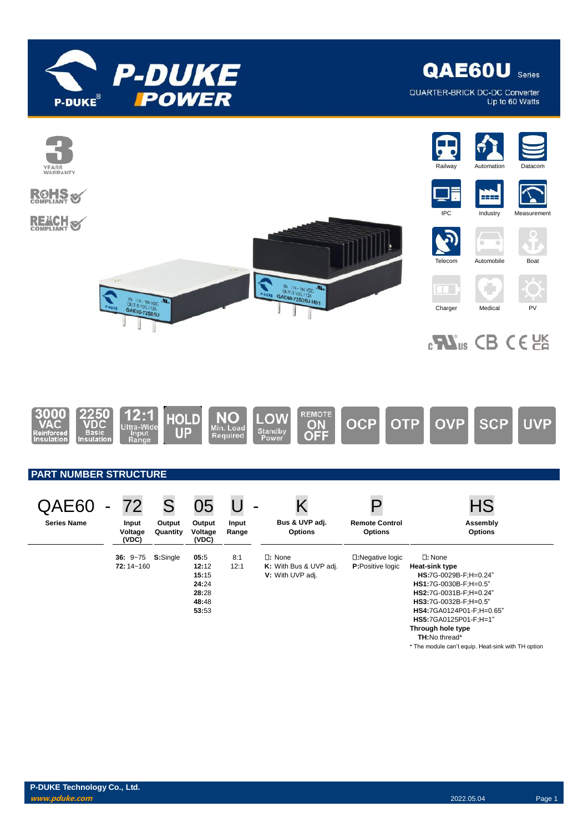

QUARTER-BRICK DC-DC Converter Up to 60 Watts

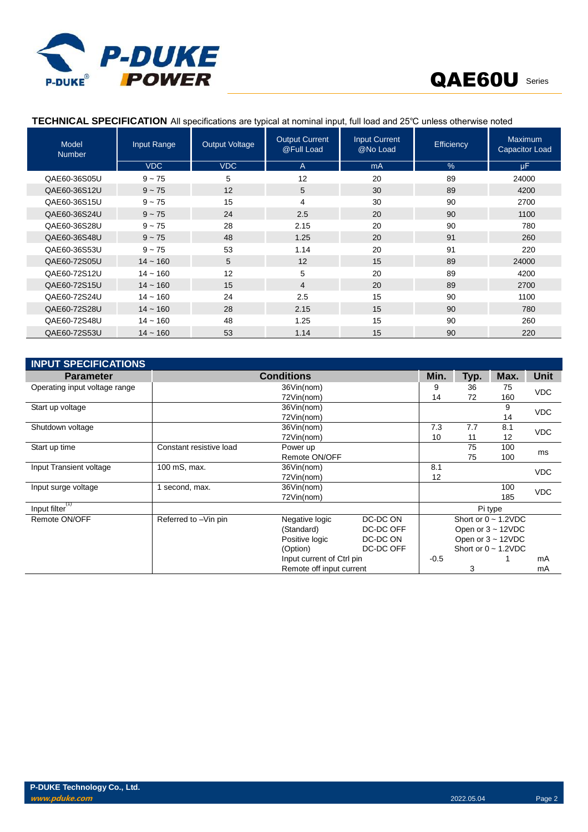

| Model<br><b>Number</b> | Input Range | <b>Output Voltage</b> | <b>Output Current</b><br>@Full Load | <b>Input Current</b><br>@No Load | Efficiency | Maximum<br><b>Capacitor Load</b> |
|------------------------|-------------|-----------------------|-------------------------------------|----------------------------------|------------|----------------------------------|
|                        | <b>VDC</b>  | <b>VDC</b>            | $\overline{A}$                      | mA                               | $\%$       | uF.                              |
| QAE60-36S05U           | $9 - 75$    | 5                     | 12                                  | 20                               | 89         | 24000                            |
| QAE60-36S12U           | $9 - 75$    | 12                    | 5                                   | 30                               | 89         | 4200                             |
| QAE60-36S15U           | $9 - 75$    | 15                    | 4                                   | 30                               | 90         | 2700                             |
| QAE60-36S24U           | $9 - 75$    | 24                    | 2.5                                 | 20                               | 90         | 1100                             |
| QAE60-36S28U           | $9 - 75$    | 28                    | 2.15                                | 20                               | 90         | 780                              |
| QAE60-36S48U           | $9 - 75$    | 48                    | 1.25                                | 20                               | 91         | 260                              |
| QAE60-36S53U           | $9 - 75$    | 53                    | 1.14                                | 20                               | 91         | 220                              |
| QAE60-72S05U           | $14 - 160$  | 5                     | 12                                  | 15                               | 89         | 24000                            |
| QAE60-72S12U           | $14 - 160$  | 12                    | 5                                   | 20                               | 89         | 4200                             |
| QAE60-72S15U           | $14 - 160$  | 15                    | $\overline{4}$                      | 20                               | 89         | 2700                             |
| QAE60-72S24U           | $14 - 160$  | 24                    | 2.5                                 | 15                               | 90         | 1100                             |
| QAE60-72S28U           | $14 - 160$  | 28                    | 2.15                                | 15                               | 90         | 780                              |
| QAE60-72S48U           | $14 - 160$  | 48                    | 1.25                                | 15                               | 90         | 260                              |
| QAE60-72S53U           | $14 - 160$  | 53                    | 1.14                                | 15                               | 90         | 220                              |

### **TECHNICAL SPECIFICATION** All specifications are typical at nominal input, full load and 25℃ unless otherwise noted

| <b>INPUT SPECIFICATIONS</b>   |                         |                           |           |        |      |                           |            |  |
|-------------------------------|-------------------------|---------------------------|-----------|--------|------|---------------------------|------------|--|
| <b>Parameter</b>              |                         | <b>Conditions</b>         |           | Min.   | Typ. | Max.                      | Unit       |  |
| Operating input voltage range |                         | 36Vin(nom)                |           | 9      | 36   | 75                        | <b>VDC</b> |  |
|                               |                         | 72Vin(nom)                |           | 14     | 72   | 160                       |            |  |
| Start up voltage              | 36Vin(nom)              |                           |           |        |      | 9                         | <b>VDC</b> |  |
|                               | 72Vin(nom)              |                           |           |        |      | 14                        |            |  |
| Shutdown voltage              |                         | 36Vin(nom)                |           | 7.3    | 7.7  | 8.1                       | <b>VDC</b> |  |
|                               |                         | 72Vin(nom)                |           | 10     | 11   | 12                        |            |  |
| Start up time                 | Constant resistive load | Power up                  |           |        | 75   | 100                       | ms         |  |
|                               | Remote ON/OFF<br>75     |                           |           |        | 100  |                           |            |  |
| Input Transient voltage       | 100 mS, max.            | 36Vin(nom)                |           | 8.1    |      |                           | <b>VDC</b> |  |
|                               |                         | 72Vin(nom)                |           | 12     |      |                           |            |  |
| Input surge voltage           | second, max.            | 36Vin(nom)                |           |        |      | 100                       | <b>VDC</b> |  |
|                               |                         | 72Vin(nom)                |           |        |      | 185                       |            |  |
| Input filter <sup>(1)</sup>   |                         |                           |           |        |      | Pi type                   |            |  |
| Remote ON/OFF                 | Referred to -Vin pin    | Negative logic            | DC-DC ON  |        |      | Short or $0 \sim 1.2$ VDC |            |  |
|                               |                         | (Standard)                | DC-DC OFF |        |      | Open or $3 \sim 12$ VDC   |            |  |
|                               |                         | Positive logic            | DC-DC ON  |        |      | Open or $3 - 12VDC$       |            |  |
|                               |                         | (Option)                  | DC-DC OFF |        |      | Short or $0 \sim 1.2$ VDC |            |  |
|                               |                         | Input current of Ctrl pin |           | $-0.5$ |      |                           | mA         |  |
|                               |                         | Remote off input current  |           |        | 3    |                           | mA         |  |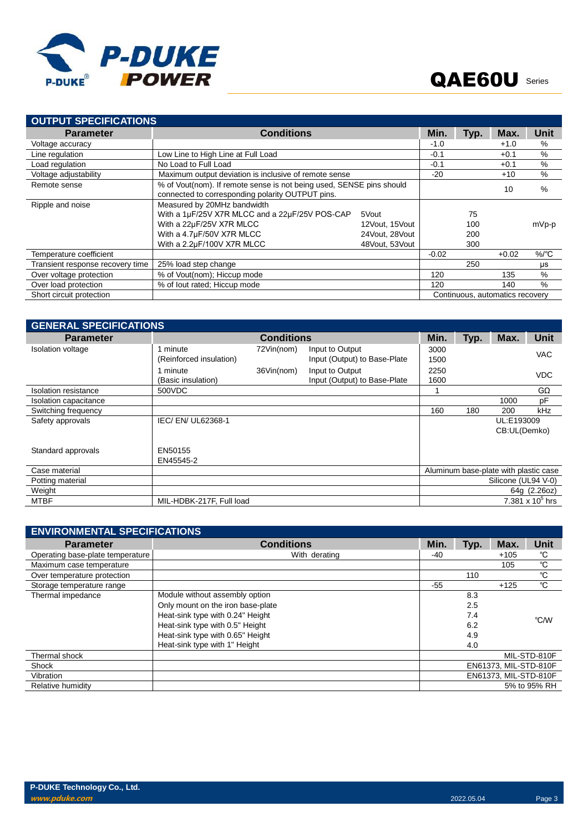

| <b>OUTPUT SPECIFICATIONS</b>     |                                                                                                                          |                |                                 |      |         |                    |  |  |  |
|----------------------------------|--------------------------------------------------------------------------------------------------------------------------|----------------|---------------------------------|------|---------|--------------------|--|--|--|
| <b>Parameter</b>                 | <b>Conditions</b>                                                                                                        |                | Min.                            | Typ. | Max.    | Unit               |  |  |  |
| Voltage accuracy                 |                                                                                                                          |                | $-1.0$                          |      | $+1.0$  | $\%$               |  |  |  |
| Line regulation                  | Low Line to High Line at Full Load                                                                                       |                | $-0.1$                          |      | $+0.1$  | %                  |  |  |  |
| Load regulation                  | No Load to Full Load                                                                                                     |                | $-0.1$                          |      | $+0.1$  | %                  |  |  |  |
| Voltage adjustability            | Maximum output deviation is inclusive of remote sense                                                                    |                | $-20$                           |      | $+10$   | $\%$               |  |  |  |
| Remote sense                     | % of Vout(nom). If remote sense is not being used, SENSE pins should<br>connected to corresponding polarity OUTPUT pins. |                |                                 |      | 10      | %                  |  |  |  |
| Ripple and noise                 | Measured by 20MHz bandwidth                                                                                              |                |                                 |      |         |                    |  |  |  |
|                                  | With a 1µF/25V X7R MLCC and a 22µF/25V POS-CAP                                                                           | 5Vout          |                                 | 75   |         |                    |  |  |  |
|                                  | With a 22µF/25V X7R MLCC                                                                                                 | 12Vout, 15Vout |                                 | 100  |         | mVp-p              |  |  |  |
|                                  | With a 4.7µF/50V X7R MLCC                                                                                                | 24Vout, 28Vout |                                 | 200  |         |                    |  |  |  |
|                                  | With a 2.2µF/100V X7R MLCC                                                                                               | 48Vout, 53Vout |                                 | 300  |         |                    |  |  |  |
| Temperature coefficient          |                                                                                                                          |                | $-0.02$                         |      | $+0.02$ | $%$ <sup>o</sup> C |  |  |  |
| Transient response recovery time | 25% load step change                                                                                                     |                |                                 | 250  |         | μs                 |  |  |  |
| Over voltage protection          | % of Vout(nom); Hiccup mode                                                                                              |                | 120                             |      | 135     | $\%$               |  |  |  |
| Over load protection             | % of lout rated; Hiccup mode                                                                                             |                | 120                             |      | 140     | $\frac{0}{0}$      |  |  |  |
| Short circuit protection         |                                                                                                                          |                | Continuous, automatics recovery |      |         |                    |  |  |  |

| <b>GENERAL SPECIFICATIONS</b> |                          |                   |                              |      |      |                                       |                    |  |  |
|-------------------------------|--------------------------|-------------------|------------------------------|------|------|---------------------------------------|--------------------|--|--|
| <b>Parameter</b>              |                          | <b>Conditions</b> |                              | Min. | Typ. | Max.                                  | <b>Unit</b>        |  |  |
| Isolation voltage             | minute                   | 72Vin(nom)        | Input to Output              | 3000 |      |                                       | <b>VAC</b>         |  |  |
|                               | (Reinforced insulation)  |                   | Input (Output) to Base-Plate | 1500 |      |                                       |                    |  |  |
|                               | minute                   | 36Vin(nom)        | Input to Output              | 2250 |      |                                       | <b>VDC</b>         |  |  |
|                               | (Basic insulation)       |                   | Input (Output) to Base-Plate | 1600 |      |                                       |                    |  |  |
| <b>Isolation resistance</b>   | 500VDC                   |                   |                              |      |      |                                       | $G\Omega$          |  |  |
| Isolation capacitance         |                          |                   |                              |      |      | 1000                                  | pF                 |  |  |
| Switching frequency           |                          |                   |                              | 160  | 180  | 200                                   | <b>kHz</b>         |  |  |
| Safety approvals              | IEC/EN/UL62368-1         |                   |                              |      |      | UL:E193009                            |                    |  |  |
|                               |                          |                   |                              |      |      | CB:UL(Demko)                          |                    |  |  |
|                               |                          |                   |                              |      |      |                                       |                    |  |  |
| Standard approvals            | EN50155                  |                   |                              |      |      |                                       |                    |  |  |
|                               | EN45545-2                |                   |                              |      |      |                                       |                    |  |  |
| Case material                 |                          |                   |                              |      |      | Aluminum base-plate with plastic case |                    |  |  |
| Potting material              |                          |                   |                              |      |      | Silicone (UL94 V-0)                   |                    |  |  |
| Weight                        |                          |                   |                              |      |      |                                       | 64g (2.26oz)       |  |  |
| MTBF                          | MIL-HDBK-217F, Full load |                   |                              |      |      |                                       | 7.381 x $10^5$ hrs |  |  |

| <b>ENVIRONMENTAL SPECIFICATIONS</b> |                                   |      |      |                       |              |  |  |  |  |
|-------------------------------------|-----------------------------------|------|------|-----------------------|--------------|--|--|--|--|
| <b>Parameter</b>                    | <b>Conditions</b>                 | Min. | Typ. | Max.                  | <b>Unit</b>  |  |  |  |  |
| Operating base-plate temperature    | With derating                     | -40  |      | $+105$                | °C           |  |  |  |  |
| Maximum case temperature            |                                   |      |      | 105                   | $^{\circ}$ C |  |  |  |  |
| Over temperature protection         |                                   |      | 110  |                       | $^{\circ}$ C |  |  |  |  |
| Storage temperature range           |                                   | -55  |      | $+125$                | $^{\circ}$ C |  |  |  |  |
| Thermal impedance                   | Module without assembly option    |      | 8.3  |                       |              |  |  |  |  |
|                                     | Only mount on the iron base-plate |      | 2.5  |                       |              |  |  |  |  |
|                                     | Heat-sink type with 0.24" Height  |      | 7.4  |                       | °C/W         |  |  |  |  |
|                                     | Heat-sink type with 0.5" Height   |      | 6.2  |                       |              |  |  |  |  |
|                                     | Heat-sink type with 0.65" Height  |      | 4.9  |                       |              |  |  |  |  |
|                                     | Heat-sink type with 1" Height     |      | 4.0  |                       |              |  |  |  |  |
| Thermal shock                       |                                   |      |      |                       | MIL-STD-810F |  |  |  |  |
| Shock                               |                                   |      |      | EN61373, MIL-STD-810F |              |  |  |  |  |
| Vibration                           |                                   |      |      | EN61373, MIL-STD-810F |              |  |  |  |  |
| Relative humidity                   |                                   |      |      |                       | 5% to 95% RH |  |  |  |  |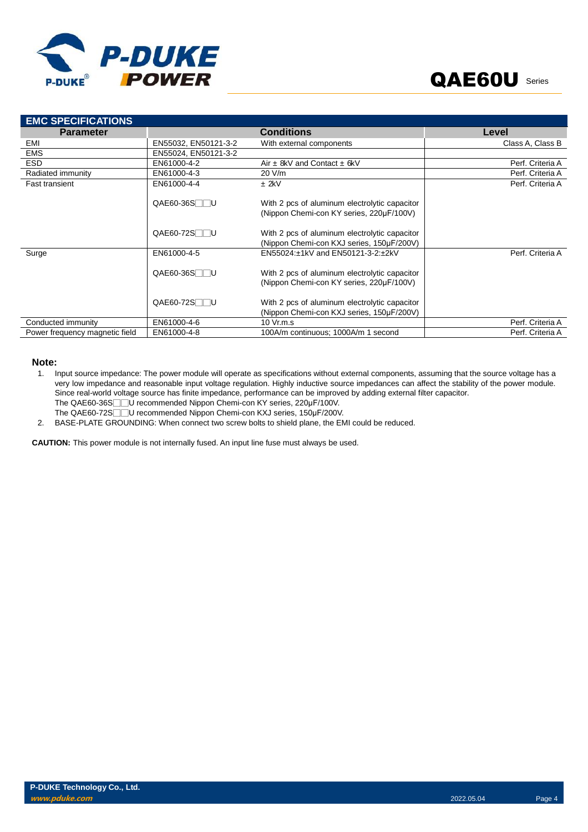

| <b>EMC SPECIFICATIONS</b>      |                         |                                                                                            |                  |
|--------------------------------|-------------------------|--------------------------------------------------------------------------------------------|------------------|
| <b>Parameter</b>               |                         | <b>Conditions</b>                                                                          | Level            |
| EMI                            | EN55032, EN50121-3-2    | With external components                                                                   | Class A, Class B |
| <b>EMS</b>                     | EN55024. EN50121-3-2    |                                                                                            |                  |
| <b>ESD</b>                     | EN61000-4-2             | Air $\pm$ 8kV and Contact $\pm$ 6kV                                                        | Perf. Criteria A |
| Radiated immunity              | EN61000-4-3             | 20 V/m                                                                                     | Perf. Criteria A |
| <b>Fast transient</b>          | EN61000-4-4             | $±$ 2kV                                                                                    | Perf. Criteria A |
|                                | $QAE60-36S$             | With 2 pcs of aluminum electrolytic capacitor<br>(Nippon Chemi-con KY series, 220µF/100V)  |                  |
|                                | $QAE60-72S$             | With 2 pcs of aluminum electrolytic capacitor<br>(Nippon Chemi-con KXJ series, 150µF/200V) |                  |
| Surge                          | EN61000-4-5             | EN55024:±1kV and EN50121-3-2:±2kV                                                          | Perf. Criteria A |
|                                | $QAE60-36S$             | With 2 pcs of aluminum electrolytic capacitor<br>(Nippon Chemi-con KY series, 220µF/100V)  |                  |
|                                | QAE60-72S <sub>UU</sub> | With 2 pcs of aluminum electrolytic capacitor<br>(Nippon Chemi-con KXJ series, 150µF/200V) |                  |
| Conducted immunity             | EN61000-4-6             | 10 Vr.m.s                                                                                  | Perf. Criteria A |
| Power frequency magnetic field | EN61000-4-8             | 100A/m continuous; 1000A/m 1 second                                                        | Perf. Criteria A |

### **Note:**

- 1. Input source impedance: The power module will operate as specifications without external components, assuming that the source voltage has a very low impedance and reasonable input voltage regulation. Highly inductive source impedances can affect the stability of the power module. Since real-world voltage source has finite impedance, performance can be improved by adding external filter capacitor.
	- The QAE60-36S□□U recommended Nippon Chemi-con KY series, 220µF/100V.
- The QAE60-72S□□U recommended Nippon Chemi-con KXJ series, 150µF/200V.
- 2. BASE-PLATE GROUNDING: When connect two screw bolts to shield plane, the EMI could be reduced.

**CAUTION:** This power module is not internally fused. An input line fuse must always be used.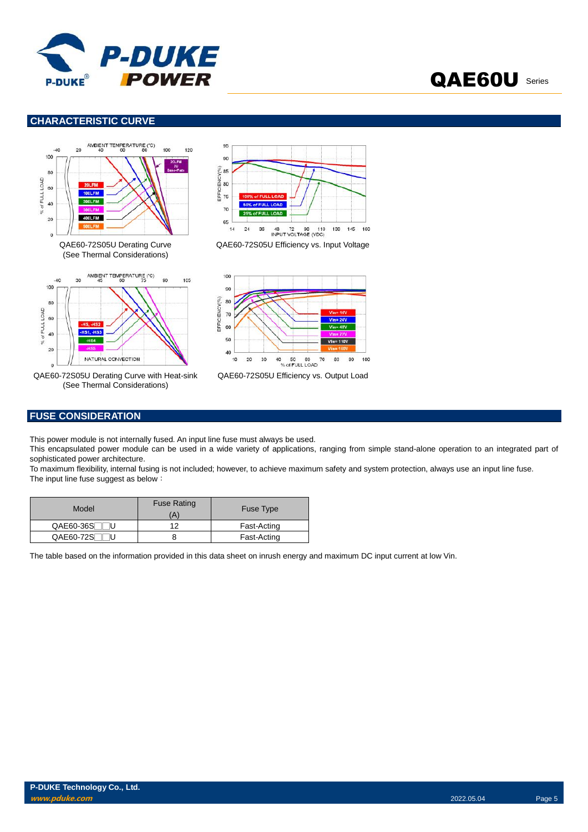

### **CHARACTERISTIC CURVE**





QAE60-72S05U Derating Curve with Heat-sink (See Thermal Considerations)



QAE60-72S05U Efficiency vs. Input Voltage



QAE60-72S05U Efficiency vs. Output Load

### **FUSE CONSIDERATION**

This power module is not internally fused. An input line fuse must always be used.

This encapsulated power module can be used in a wide variety of applications, ranging from simple stand-alone operation to an integrated part of sophisticated power architecture.

To maximum flexibility, internal fusing is not included; however, to achieve maximum safety and system protection, always use an input line fuse. The input line fuse suggest as below:

| Model       | <b>Fuse Rating</b><br>(A | <b>Fuse Type</b> |
|-------------|--------------------------|------------------|
| $QAE60-36S$ | 10                       | Fast-Acting      |
| QAE60-72ST  |                          | Fast-Acting      |

The table based on the information provided in this data sheet on inrush energy and maximum DC input current at low Vin.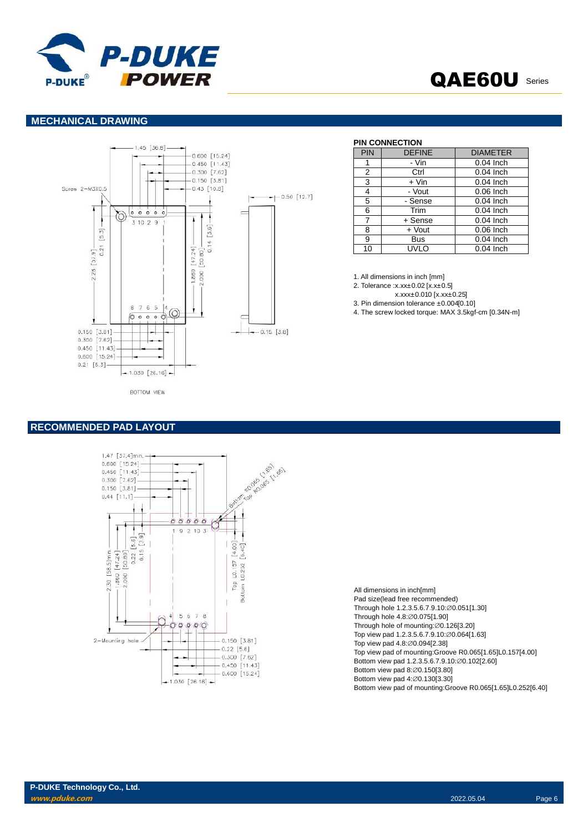

### **MECHANICAL DRAWING**



### **PIN CONNECTION**

| <b>PIN</b> | <b>DEFINE</b> | <b>DIAMETER</b> |
|------------|---------------|-----------------|
|            | - Vin         | $0.04$ Inch     |
| 2          | Ctrl          | $0.04$ Inch     |
| 3          | $+$ Vin       | $0.04$ Inch     |
| 4          | - Vout        | $0.06$ Inch     |
| 5          | - Sense       | $0.04$ Inch     |
| 6          | Trim          | 0.04 Inch       |
| 7          | + Sense       | $0.04$ Inch     |
| 8          | + Vout        | $0.06$ Inch     |
| 9          | <b>Bus</b>    | $0.04$ Inch     |
| 10         | UVLO          | $0.04$ Inch     |

1. All dimensions in inch [mm]

- 2. Tolerance :x.xx±0.02 [x.x±0.5]
	- x.xxx±0.010 [x.xx±0.25]
- 3. Pin dimension tolerance ±0.004[0.10]
- 4. The screw locked torque: MAX 3.5kgf-cm [0.34N-m]

### **RECOMMENDED PAD LAYOUT**



| Pad size(lead free recommended)                              |
|--------------------------------------------------------------|
| Through hole 1.2.3.5.6.7.9.10: 0.051[1.30]                   |
| Through hole 4.8: Ø0.075[1.90]                               |
| Through hole of mounting: $\varnothing$ 0.126[3.20]          |
| Top view pad 1.2.3.5.6.7.9.10: @0.064[1.63]                  |
| Top view pad 4.8: Ø0.094[2.38]                               |
| Top view pad of mounting: Groove R0.065[1.65] L0.157[4.00]   |
| Bottom view pad 1.2.3.5.6.7.9.10:00.102[2.60]                |
| Bottom view pad 8:00.150[3.80]                               |
| Bottom view pad 4: Ø0.130[3.30]                              |
| Bottom view pad of mounting: Groove R0.065[1.65]L0.252[6.40] |
|                                                              |

All dimensions in inch[mm]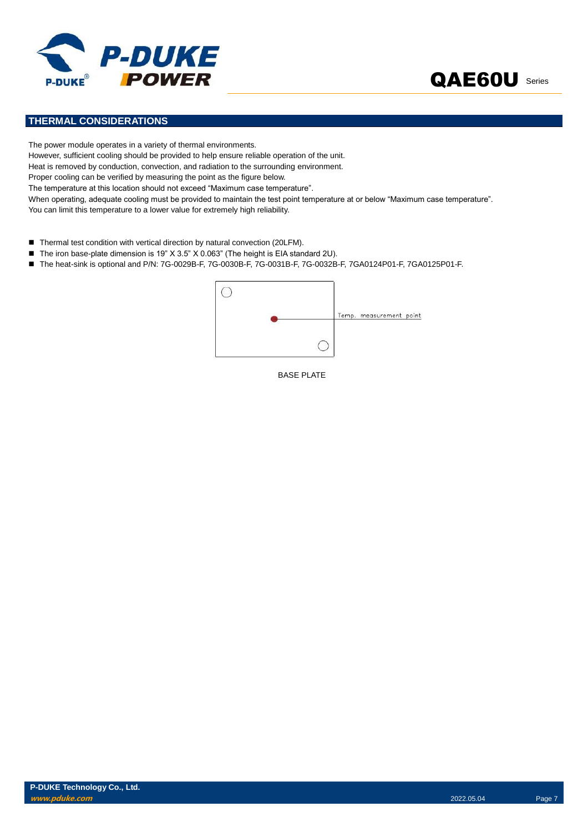



### **THERMAL CONSIDERATIONS**

The power module operates in a variety of thermal environments. However, sufficient cooling should be provided to help ensure reliable operation of the unit. Heat is removed by conduction, convection, and radiation to the surrounding environment. Proper cooling can be verified by measuring the point as the figure below. The temperature at this location should not exceed "Maximum case temperature". When operating, adequate cooling must be provided to maintain the test point temperature at or below "Maximum case temperature". You can limit this temperature to a lower value for extremely high reliability.

- Thermal test condition with vertical direction by natural convection (20LFM).
- The iron base-plate dimension is 19" X 3.5" X 0.063" (The height is EIA standard 2U).
- The heat-sink is optional and P/N: 7G-0029B-F, 7G-0030B-F, 7G-0031B-F, 7G-0032B-F, 7GA0124P01-F, 7GA0125P01-F.



BASE PLATE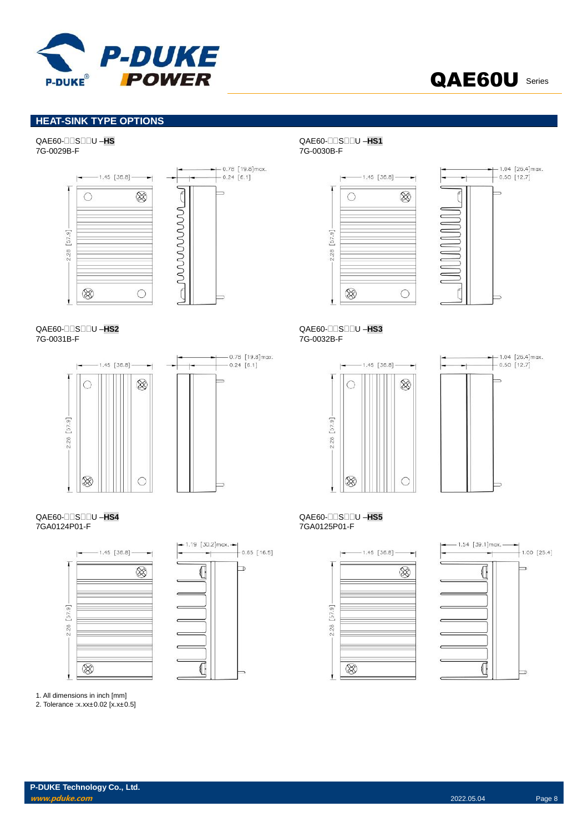

### **HEAT-SINK TYPE OPTIONS**

## QAE60-SU –**HS** QAE60-SU –**HS1**





## QAE60-SU –**HS2** QAE60-SU –**HS3**





## QAE60-SU –**HS4** QAE60-SU –**HS5**





1. All dimensions in inch [mm]

2. Tolerance :x.xx±0.02 [x.x±0.5]

# 7G-0029B-F 7G-0030B-F





7G-0032B-F





## 7GA0125P01-F



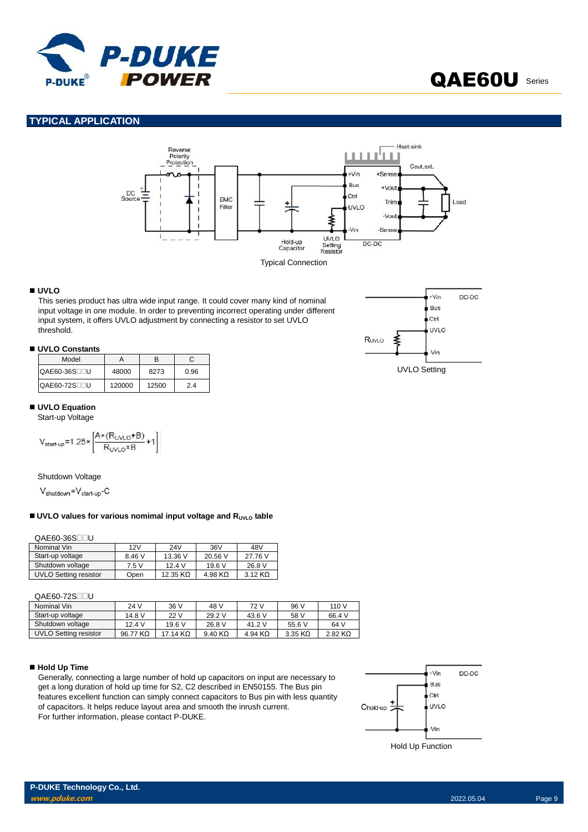

### **TYPICAL APPLICATION**



### **UVLO**

This series product has ultra wide input range. It could cover many kind of nominal input voltage in one module. In order to preventing incorrect operating under different input system, it offers UVLO adjustment by connecting a resistor to set UVLO threshold.

### **UVLO Constants**

| Model        |        | R     | С    |
|--------------|--------|-------|------|
| QAE60-36S⊟⊟U | 48000  | 8273  | 0.96 |
| QAE60-72S∏∏U | 120000 | 12500 | 24   |

### **UVLO Equation**

Start-up Voltage

$$
V_{start-up} = 1.25 \times \left[ \frac{A \times (R_{UVLO} + B)}{R_{UVLO} \times B} + 1 \right]
$$

Shutdown Voltage

 $V_{shutdown} = V_{start-up} - C$ 

### ■ UVLO values for various nomimal input voltage and R<sub>UVLO</sub> table

QAE60-36S<sub>UU</sub>

| Nominal Vin                  | 12V    | 24V              | 36V     | 48V     |
|------------------------------|--------|------------------|---------|---------|
| Start-up voltage             | 8.46 V | 13.36 V          | 20.56 V | 27.76 V |
| Shutdown voltage             | 7.5 V  | 124V             | 19.6V   | 26.8 V  |
| <b>UVLO Setting resistor</b> | Open   | 12.35 K $\Omega$ | 4.98 KQ | 3.12 KO |

QAE60-72S<sub>UU</sub>

| Nominal Vin           | 24 V     | 36 V       | 48 V                   | 72 V      | 96 V      | 110 V     |
|-----------------------|----------|------------|------------------------|-----------|-----------|-----------|
| Start-up voltage      | 14.8 V   | 22 V       | 29.2 V                 | 43.6 V    | 58 V      | 66.4 V    |
| Shutdown voltage      | 124V     | 19.6V      | 26.8 V                 | 41.2 V    | 55.6 V    | 64 V      |
| UVLO Setting resistor | 96.77 KQ | $17.14$ KQ | $9.40 \text{ K}\Omega$ | 4.94 $K2$ | $3.35$ KQ | $2.82$ KQ |

### ■ Hold Up Time

Generally, connecting a large number of hold up capacitors on input are necessary to get a long duration of hold up time for S2, C2 described in EN50155. The Bus pin features excellent function can simply connect capacitors to Bus pin with less quantity of capacitors. It helps reduce layout area and smooth the inrush current. For further information, please contact P-DUKE.





QAE60U Series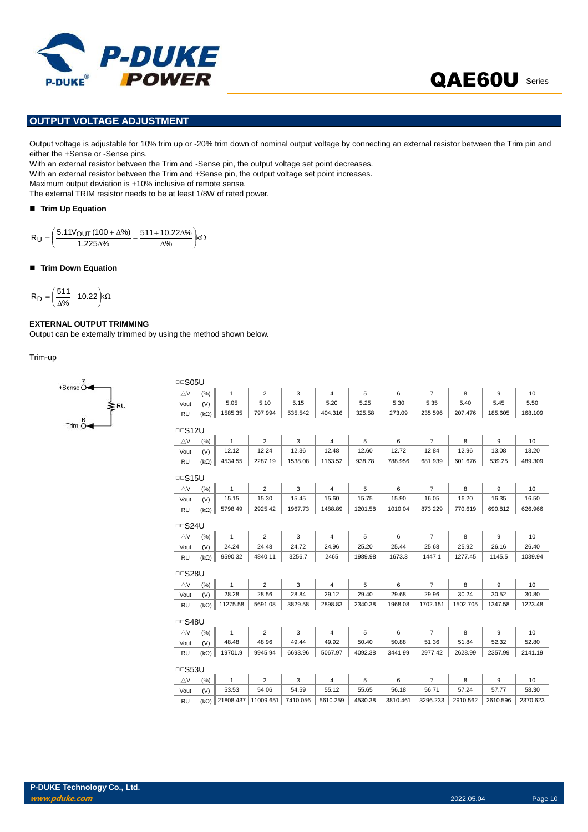

### **OUTPUT VOLTAGE ADJUSTMENT**

Output voltage is adjustable for 10% trim up or -20% trim down of nominal output voltage by connecting an external resistor between the Trim pin and either the +Sense or -Sense pins.

With an external resistor between the Trim and -Sense pin, the output voltage set point decreases.

With an external resistor between the Trim and +Sense pin, the output voltage set point increases.

Maximum output deviation is +10% inclusive of remote sense. The external TRIM resistor needs to be at least 1/8W of rated power.

**Trim Up Equation** 

 $k\Omega$ J  $\mathcal{L}$ l  $\overline{\phantom{0}}$ ſ Δ  $\frac{00 + \Delta\%}{\Delta\%} - \frac{511 + 10.22\Delta}{\Delta\%}$  $=\left(\frac{5.11 V_{\text{OUT}} \left(100 + \Delta\%\right)}{1.225 \Delta\%}-\frac{511 + 10.22 \Delta\%\right) k}{\Delta\%}\right)$  $511+10.22\Delta\%$  $R_U = \left(\frac{5.11 V_{OUT} (100 + \Delta\%)}{1.225 \Delta\%}\right)$ 

### **Trim Down Equation**

$$
R_D = \left(\frac{511}{\Delta\%} - 10.22\right) k\Omega
$$

+Sense<sup>C</sup>

### **EXTERNAL OUTPUT TRIMMING**

Output can be externally trimmed by using the method shown below.

Trim-up

| <b>DDS05U</b> |             |              |                |          |                |         |          |                |          |          |                 |
|---------------|-------------|--------------|----------------|----------|----------------|---------|----------|----------------|----------|----------|-----------------|
| $\triangle$ V | (%)         | $\mathbf{1}$ | $\overline{2}$ | 3        | 4              | 5       | 6        | $\overline{7}$ | 8        | 9        | 10              |
| Vout          | (V)         | 5.05         | 5.10           | 5.15     | 5.20           | 5.25    | 5.30     | 5.35           | 5.40     | 5.45     | 5.50            |
| <b>RU</b>     | $(k\Omega)$ | 1585.35      | 797.994        | 535.542  | 404.316        | 325.58  | 273.09   | 235.596        | 207.476  | 185.605  | 168.109         |
| $\Box$ S12U   |             |              |                |          |                |         |          |                |          |          |                 |
| $\triangle$ V | (% )        | $\mathbf{1}$ | $\overline{2}$ | 3        | $\overline{4}$ | 5       | 6        | $\overline{7}$ | 8        | 9        | 10              |
| Vout          | (V)         | 12.12        | 12.24          | 12.36    | 12.48          | 12.60   | 12.72    | 12.84          | 12.96    | 13.08    | 13.20           |
| <b>RU</b>     | $(k\Omega)$ | 4534.55      | 2287.19        | 1538.08  | 1163.52        | 938.78  | 788.956  | 681.939        | 601.676  | 539.25   | 489.309         |
| <b>DDS15U</b> |             |              |                |          |                |         |          |                |          |          |                 |
| $\triangle$ V | $(\% )$     | $\mathbf{1}$ | $\overline{2}$ | 3        | $\overline{4}$ | 5       | 6        | $\overline{7}$ | 8        | 9        | 10              |
| Vout          | (V)         | 15.15        | 15.30          | 15.45    | 15.60          | 15.75   | 15.90    | 16.05          | 16.20    | 16.35    | 16.50           |
| <b>RU</b>     | $(k\Omega)$ | 5798.49      | 2925.42        | 1967.73  | 1488.89        | 1201.58 | 1010.04  | 873.229        | 770.619  | 690.812  | 626.966         |
| $\Box$ S24U   |             |              |                |          |                |         |          |                |          |          |                 |
| $\triangle$ V | (% )        | $\mathbf{1}$ | $\overline{2}$ | 3        | $\overline{4}$ | 5       | 6        | $\overline{7}$ | 8        | 9        | 10              |
| Vout          | (V)         | 24.24        | 24.48          | 24.72    | 24.96          | 25.20   | 25.44    | 25.68          | 25.92    | 26.16    | 26.40           |
| RU            | $(k\Omega)$ | 9590.32      | 4840.11        | 3256.7   | 2465           | 1989.98 | 1673.3   | 1447.1         | 1277.45  | 1145.5   | 1039.94         |
| <b>DDS28U</b> |             |              |                |          |                |         |          |                |          |          |                 |
| $\triangle$ V | (% )        | $\mathbf{1}$ | $\overline{2}$ | 3        | $\overline{4}$ | 5       | 6        | $\overline{7}$ | 8        | 9        | 10              |
| Vout          | (V)         | 28.28        | 28.56          | 28.84    | 29.12          | 29.40   | 29.68    | 29.96          | 30.24    | 30.52    | 30.80           |
| RU            | $(k\Omega)$ | 11275.58     | 5691.08        | 3829.58  | 2898.83        | 2340.38 | 1968.08  | 1702.151       | 1502.705 | 1347.58  | 1223.48         |
| <b>□□S48U</b> |             |              |                |          |                |         |          |                |          |          |                 |
| $\triangle$ V | (%)         | $\mathbf{1}$ | $\overline{2}$ | 3        | 4              | 5       | 6        | $\overline{7}$ | 8        | 9        | 10 <sup>°</sup> |
| Vout          | (V)         | 48.48        | 48.96          | 49.44    | 49.92          | 50.40   | 50.88    | 51.36          | 51.84    | 52.32    | 52.80           |
| <b>RU</b>     | $(k\Omega)$ | 19701.9      | 9945.94        | 6693.96  | 5067.97        | 4092.38 | 3441.99  | 2977.42        | 2628.99  | 2357.99  | 2141.19         |
| <b>DDS53U</b> |             |              |                |          |                |         |          |                |          |          |                 |
| $\triangle$ V | (%)         | $\mathbf{1}$ | $\overline{2}$ | 3        | $\sqrt{4}$     | 5       | 6        | $\overline{7}$ | 8        | 9        | 10              |
| Vout          | (V)         | 53.53        | 54.06          | 54.59    | 55.12          | 55.65   | 56.18    | 56.71          | 57.24    | 57.77    | 58.30           |
| <b>RU</b>     | $(k\Omega)$ | 21808.437    | 11009.651      | 7410.056 | 5610.259       | 4530.38 | 3810.461 | 3296.233       | 2910.562 | 2610.596 | 2370.623        |